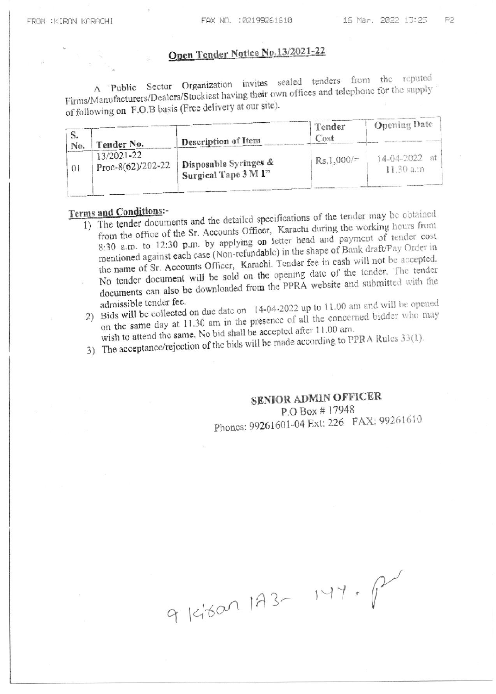# Open Tender Notice No. 13/2021-22

A Public Sector Organization invites sealed tenders from the reputed Firms/Manufacturers/Dealers/Stockiest having their own offices and telephone for the supply of following on F.O.B basis (Free delivery at our site).

|          |                                     |                                               | Tender            | <b>Opening Date</b>             |  |  |
|----------|-------------------------------------|-----------------------------------------------|-------------------|---------------------------------|--|--|
| No.      | Tender No.                          | Description of Item                           | Cost              |                                 |  |  |
| $\Omega$ | $13/2021 - 22$<br>Proc-8(62)/202-22 | Disposable Syringes &<br>Surgical Tape 3 M 1" | $+$ Rs, 1,000/= . | $14-04-2022$ at<br>$11.30$ a.m. |  |  |
|          |                                     |                                               |                   |                                 |  |  |

### Terms and Conditions:-

- 1) The tender documents and the detailed specifications of the tender may be obtained from the office of the Sr. Accounts Officer, Karachi during the working hours from 8:30 a.m. to 12:30 p.m. by applying on letter head and payment of tender cost mentioned against each case (Non-refundable) in the shape of Bank draft/Pay Order in the name of Sr. Accounts Officer, Karachi. Tender fee in cash will not be accepted. No tender document will be sold on the opening date of the tender. The tender documents can also be downloaded from the PPRA website and submitted with the admissible tender fee.
- 2) Bids will be collected on due date on 14-04-2022 up to 11.00 am and will be opened on the same day at 11.30 am in the presence of all the concerned bidder who may wish to attend the same. No bid shall be accepted after 11.00 am.

3) The acceptance/rejection of the bids will be made according to PPRA Rules 33(1).

# **SENIOR ADMIN OFFICER**

P.O Box #17948 Phones: 99261601-04 Ext: 226 FAX: 99261610

9 Kitan 193-147. P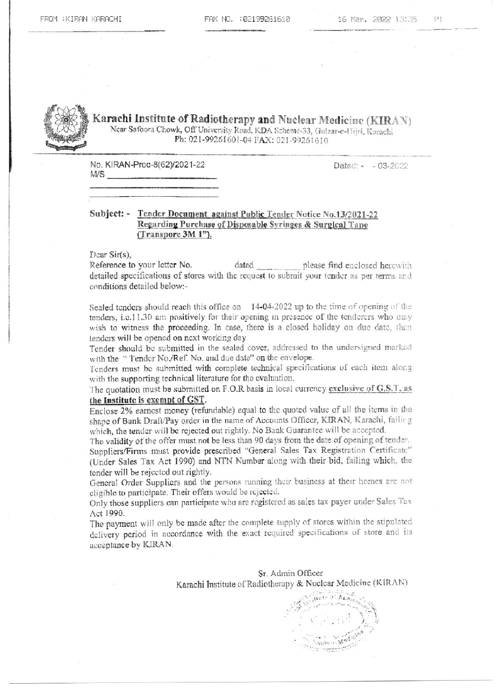

Karachi Institute of Radiotherapy and Nuclear Medicine (KIRAN) Near Safoora Chowk, Off University Road, KDA Scheme-33, Gulzar-e-Hijri, Karachi Ph: 021-99261601-04 FAX: 021-99261610

No. KIRAN-Proc-8(62)/2021-22  $M/S$  Dated: - - 03-2022

#### Subject: - Tender Document against Public Tender Notice No.13/2021-22 Regarding Purchase of Disposable Syringes & Surgical Tape (Transpore  $3M_1$ <sup>n</sup>).

Dear Sir(s),

Reference to your letter No. dated please find enclosed herewith detailed specifications of stores with the request to submit your tender as per terms and conditions detailed below:-

Sealed tonders should reach this office on 14-04-2022 up to the time of opening of the tenders, i.e.11.30 am positively for their opening in presence of the tenderers who may wish to witness the proceeding. In case, there is a closed holiday on due date, then tenders will be opened on next working day.

Tender should be submitted in the sealed cover, addressed to the undersigned marked with the "Tender No./Ref. No. and due date" on the envelope.

Tenders must be submitted with complete technical specifications of each item along with the supporting technical literature for the evaluation.

#### The quotation must be submitted on F.O.R basis in local currency exclusive of G.S.T. as the Institute is exempt of GST.

Enclose 2% earnest money (refundable) equal to the quoted value of all the items in the shape of Bank Draft/Pay order in the name of Accounts Officer, KIRAN, Karachi, failing which, the tender will be rejected out rightly. No Bank Guarantee will be accepted.

The validity of the offer must not be less than 90 days from the date of opening of tender. Suppliers/Firms must provide prescribed "General Sales Tax Registration Certificate" (Under Sales Tax Act 1990) and NTN Number along with their bid, failing which, the tender will be rejected out rightly.

General Order Suppliers and the persons running their business at their homes are not cligible to participate. Their offers would be rejected.

Only those suppliers can participate who are registered as sales tax payer under Sales Tax Act 1990.

The payment will only be made after the complete supply of stores within the stipulated delivery period in accordance with the exact required specifications of store and its acceptance by KIRAN.

> Sr. Admin Officer Karachi Institute of Radiotherapy & Nuclear Medicine (KIRAN)